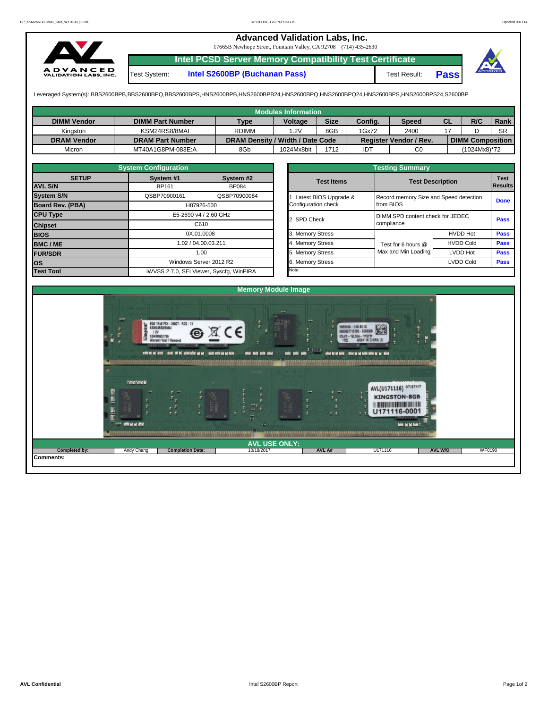## **Advanced Validation Labs, Inc.**  17665B Newhope Street, Fountain Valley, CA 92708 (714) 435-2630 **Intel PCSD Server Memory Compatibility Test Certificate A D V A N C E D**<br>VALIDATION LABS, INC. Test System: **Intel S2600BP (Buchanan Pass)** Test Result: **Pass**

Leveraged System(s): BBS2600BPB,BBS2600BPQ,BBS2600BPS,HNS2600BPB,HNS2600BPB24,HNS2600BPQ,HNS2600BPQ24,HNS2600BPS,HNS2600BPS24,S2600BP

|                    |                         |                                  | <b>Modules Information</b> |             |            |                               |    |                         |           |
|--------------------|-------------------------|----------------------------------|----------------------------|-------------|------------|-------------------------------|----|-------------------------|-----------|
| <b>DIMM Vendor</b> | <b>DIMM Part Number</b> | <b>Type</b>                      | Voltage                    | <b>Size</b> | Config.    | <b>Speed</b>                  | СL | R/C                     | Rank      |
| Kinaston           | KSM24RS8/8MAI           | <b>RDIMM</b>                     | 1.2V                       | 8GB         | 1Gx72      | 2400                          |    |                         | <b>SR</b> |
| <b>DRAM Vendor</b> | <b>DRAM Part Number</b> | DRAM Density / Width / Date Code |                            |             |            | <b>Register Vendor / Rev.</b> |    | <b>DIMM Composition</b> |           |
| Micron             | MT40A1G8PM-083E:A       | 8Gb                              | 1024Mx8bit                 | 1712        | <b>IDT</b> | C0                            |    | (1024Mx8)*72            |           |

|                   | <b>System Configuration</b>   |                                         |  |                       | <b>Testing Summary</b>                 |                  |                |  |
|-------------------|-------------------------------|-----------------------------------------|--|-----------------------|----------------------------------------|------------------|----------------|--|
| <b>SETUP</b>      | System <sub>#1</sub>          | System #2                               |  | <b>Test Items</b>     | <b>Test Description</b>                | <b>Test</b>      |                |  |
| <b>AVL S/N</b>    | <b>BP161</b>                  | <b>BP084</b>                            |  |                       |                                        |                  | <b>Results</b> |  |
| <b>System S/N</b> | QSBP70900161                  | QSBP70900084                            |  | Latest BIOS Upgrade & | Record memory Size and Speed detection |                  | <b>Done</b>    |  |
| Board Rev. (PBA)  |                               | H87926-500                              |  | Configuration check   | from BIOS                              |                  |                |  |
| <b>CPU Type</b>   | E5-2690 v4 / 2.60 GHz<br>C610 |                                         |  | 2. SPD Check          | DIMM SPD content check for JEDEC       |                  |                |  |
| <b>Chipset</b>    |                               |                                         |  |                       | compliance                             |                  |                |  |
| <b>BIOS</b>       |                               | 0X.01.0008                              |  | 3. Memory Stress      |                                        | <b>HVDD Hot</b>  | <b>Pass</b>    |  |
| <b>BMC/ME</b>     |                               | 1.02 / 04.00.03.211                     |  | 4. Memory Stress      | Test for 6 hours @                     | <b>HVDD Cold</b> | <b>Pass</b>    |  |
| <b>FUR/SDR</b>    | 1.00                          |                                         |  | 5. Memory Stress      | Max and Min Loading                    | LVDD Hot         | <b>Pass</b>    |  |
| <b>los</b>        |                               | Windows Server 2012 R2                  |  | 6. Memory Stress      |                                        | LVDD Cold        | <b>Pass</b>    |  |
| <b>Test Tool</b>  |                               | iWVSS 2.7.0, SELViewer, Syscfq, WinPIRA |  | Note:                 |                                        |                  |                |  |

|                                                 | <b>Testing Summary</b>                              |                         |             |  |  |  |  |  |  |  |  |
|-------------------------------------------------|-----------------------------------------------------|-------------------------|-------------|--|--|--|--|--|--|--|--|
| <b>Test Items</b>                               |                                                     | <b>Test Description</b> |             |  |  |  |  |  |  |  |  |
| 1. Latest BIOS Upgrade &<br>Configuration check | Record memory Size and Speed detection<br>from BIOS |                         | <b>Done</b> |  |  |  |  |  |  |  |  |
| 2. SPD Check                                    | DIMM SPD content check for JEDEC<br>compliance      |                         | Pass        |  |  |  |  |  |  |  |  |
| 3. Memory Stress                                |                                                     | <b>HVDD Hot</b>         | Pass        |  |  |  |  |  |  |  |  |
| 4. Memory Stress                                | Test for 6 hours @                                  | <b>HVDD Cold</b>        | <b>Pass</b> |  |  |  |  |  |  |  |  |
| 5. Memory Stress                                | Max and Min Loading                                 | <b>LVDD Hot</b>         | <b>Pass</b> |  |  |  |  |  |  |  |  |
| 6. Memory Stress                                |                                                     | <b>LVDD Cold</b>        | Pass        |  |  |  |  |  |  |  |  |
| Ninte:                                          |                                                     |                         |             |  |  |  |  |  |  |  |  |